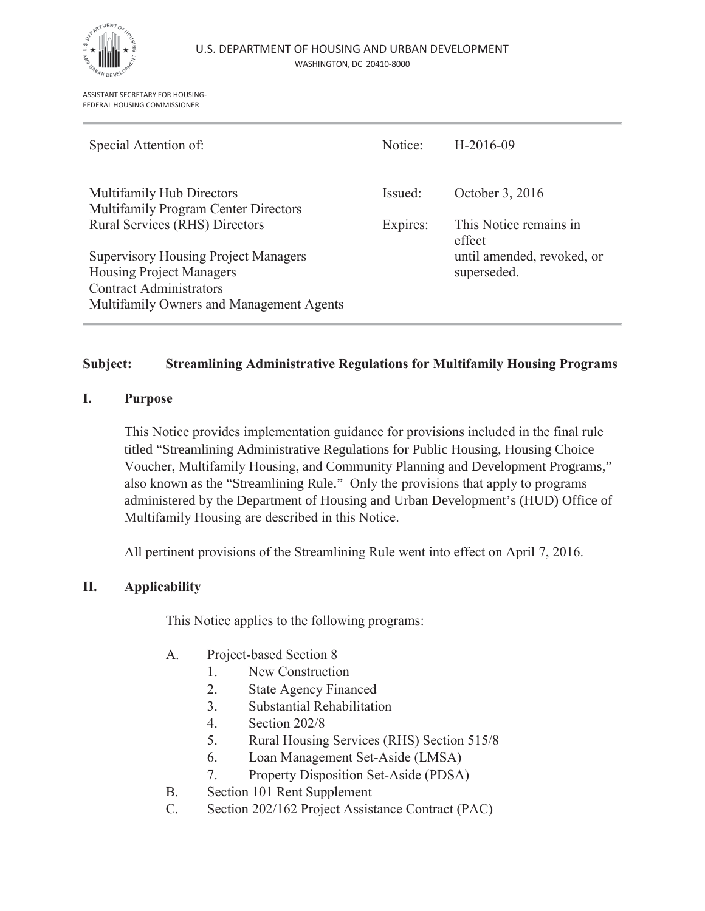

ASSISTANT SECRETARY FOR HOUSING-FEDERAL HOUSING COMMISSIONER

| Special Attention of:                                             | Notice:  | $H-2016-09$                      |
|-------------------------------------------------------------------|----------|----------------------------------|
| Multifamily Hub Directors<br>Multifamily Program Center Directors | Issued:  | October 3, 2016                  |
| Rural Services (RHS) Directors                                    | Expires: | This Notice remains in<br>effect |
| <b>Supervisory Housing Project Managers</b>                       |          | until amended, revoked, or       |
| <b>Housing Project Managers</b>                                   |          | superseded.                      |
| <b>Contract Administrators</b>                                    |          |                                  |
| Multifamily Owners and Management Agents                          |          |                                  |

#### **Subject: Streamlining Administrative Regulations for Multifamily Housing Programs**

#### **I. Purpose**

This Notice provides implementation guidance for provisions included in the final rule titled "Streamlining Administrative Regulations for Public Housing, Housing Choice Voucher, Multifamily Housing, and Community Planning and Development Programs," also known as the "Streamlining Rule." Only the provisions that apply to programs administered by the Department of Housing and Urban Development's (HUD) Office of Multifamily Housing are described in this Notice.

All pertinent provisions of the Streamlining Rule went into effect on April 7, 2016.

#### **II. Applicability**

This Notice applies to the following programs:

- A. Project-based Section 8
	- 1. New Construction
	- 2. State Agency Financed
	- 3. Substantial Rehabilitation
	- 4. Section 202/8
	- 5. Rural Housing Services (RHS) Section 515/8
	- 6. Loan Management Set-Aside (LMSA)
	- 7. Property Disposition Set-Aside (PDSA)
- B. Section 101 Rent Supplement
- C. Section 202/162 Project Assistance Contract (PAC)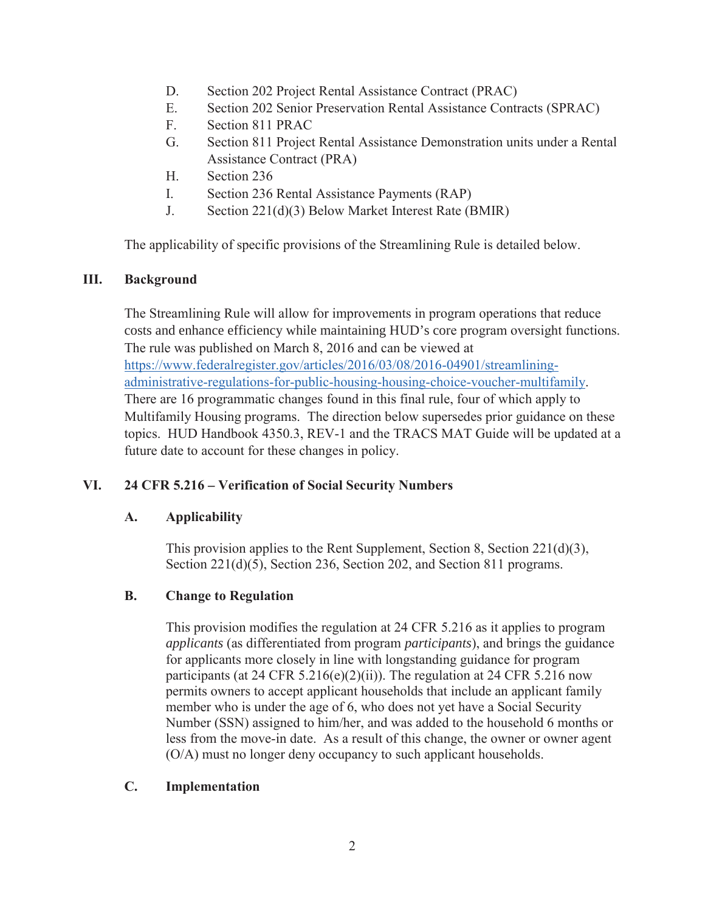- D. Section 202 Project Rental Assistance Contract (PRAC)
- E. Section 202 Senior Preservation Rental Assistance Contracts (SPRAC)
- F. Section 811 PRAC
- G. Section 811 Project Rental Assistance Demonstration units under a Rental Assistance Contract (PRA)
- H. Section 236
- I. Section 236 Rental Assistance Payments (RAP)
- J. Section 221(d)(3) Below Market Interest Rate (BMIR)

The applicability of specific provisions of the Streamlining Rule is detailed below.

## **III. Background**

The Streamlining Rule will allow for improvements in program operations that reduce costs and enhance efficiency while maintaining HUD's core program oversight functions. The rule was published on March 8, 2016 and can be viewed at https://www.federalregister.gov/articles/2016/03/08/2016-04901/streamliningadministrative-regulations-for-public-housing-housing-choice-voucher-multifamily. There are 16 programmatic changes found in this final rule, four of which apply to Multifamily Housing programs. The direction below supersedes prior guidance on these topics. HUD Handbook 4350.3, REV-1 and the TRACS MAT Guide will be updated at a future date to account for these changes in policy.

## **VI. 24 CFR 5.216 – Verification of Social Security Numbers**

## **A. Applicability**

This provision applies to the Rent Supplement, Section 8, Section 221(d)(3), Section 221(d)(5), Section 236, Section 202, and Section 811 programs.

## **B. Change to Regulation**

This provision modifies the regulation at 24 CFR 5.216 as it applies to program *applicants* (as differentiated from program *participants*), and brings the guidance for applicants more closely in line with longstanding guidance for program participants (at 24 CFR 5.216(e)(2)(ii)). The regulation at 24 CFR 5.216 now permits owners to accept applicant households that include an applicant family member who is under the age of 6, who does not yet have a Social Security Number (SSN) assigned to him/her, and was added to the household 6 months or less from the move-in date. As a result of this change, the owner or owner agent (O/A) must no longer deny occupancy to such applicant households.

## **C. Implementation**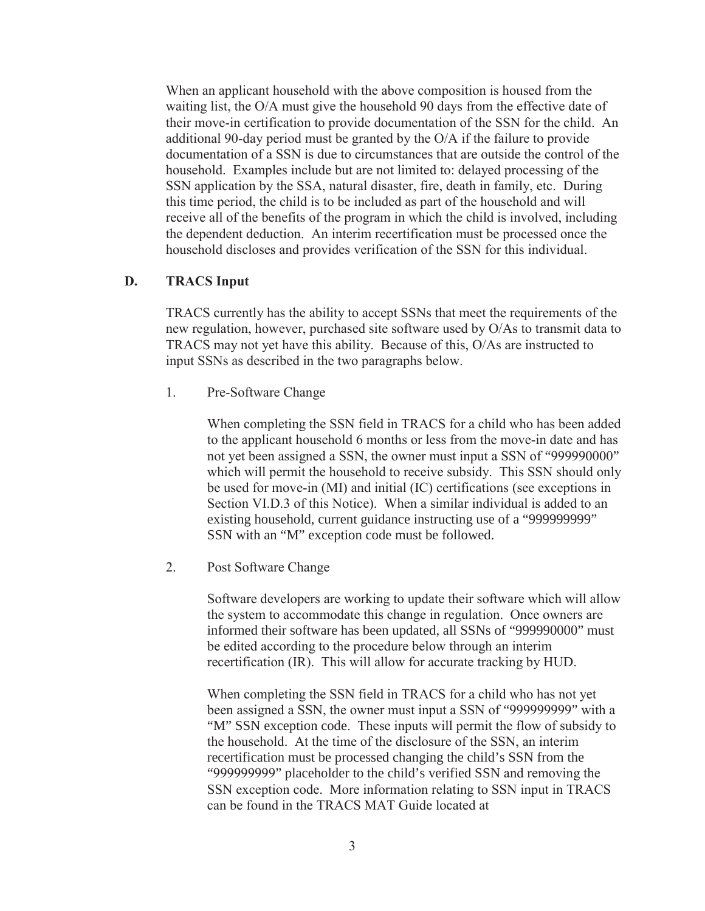When an applicant household with the above composition is housed from the waiting list, the O/A must give the household 90 days from the effective date of their move-in certification to provide documentation of the SSN for the child. An additional 90-day period must be granted by the O/A if the failure to provide documentation of a SSN is due to circumstances that are outside the control of the household. Examples include but are not limited to: delayed processing of the SSN application by the SSA, natural disaster, fire, death in family, etc. During this time period, the child is to be included as part of the household and will receive all of the benefits of the program in which the child is involved, including the dependent deduction. An interim recertification must be processed once the household discloses and provides verification of the SSN for this individual.

#### **D. TRACS Input**

TRACS currently has the ability to accept SSNs that meet the requirements of the new regulation, however, purchased site software used by O/As to transmit data to TRACS may not yet have this ability. Because of this, O/As are instructed to input SSNs as described in the two paragraphs below.

1. Pre-Software Change

When completing the SSN field in TRACS for a child who has been added to the applicant household 6 months or less from the move-in date and has not yet been assigned a SSN, the owner must input a SSN of "999990000" which will permit the household to receive subsidy. This SSN should only be used for move-in (MI) and initial (IC) certifications (see exceptions in Section VI.D.3 of this Notice). When a similar individual is added to an existing household, current guidance instructing use of a "999999999" SSN with an "M" exception code must be followed.

2. Post Software Change

Software developers are working to update their software which will allow the system to accommodate this change in regulation. Once owners are informed their software has been updated, all SSNs of "999990000" must be edited according to the procedure below through an interim recertification (IR). This will allow for accurate tracking by HUD.

When completing the SSN field in TRACS for a child who has not yet been assigned a SSN, the owner must input a SSN of "999999999" with a "M" SSN exception code. These inputs will permit the flow of subsidy to the household. At the time of the disclosure of the SSN, an interim recertification must be processed changing the child's SSN from the "999999999" placeholder to the child's verified SSN and removing the SSN exception code. More information relating to SSN input in TRACS can be found in the TRACS MAT Guide located at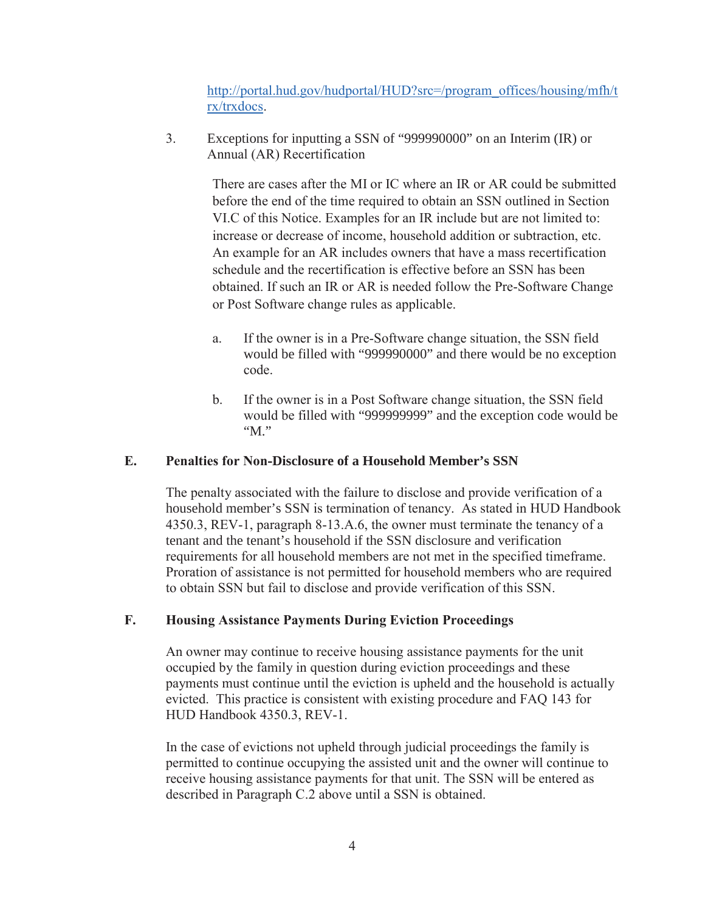http://portal.hud.gov/hudportal/HUD?src=/program\_offices/housing/mfh/t rx/trxdocs.

3. Exceptions for inputting a SSN of "999990000" on an Interim (IR) or Annual (AR) Recertification

> There are cases after the MI or IC where an IR or AR could be submitted before the end of the time required to obtain an SSN outlined in Section VI.C of this Notice. Examples for an IR include but are not limited to: increase or decrease of income, household addition or subtraction, etc. An example for an AR includes owners that have a mass recertification schedule and the recertification is effective before an SSN has been obtained. If such an IR or AR is needed follow the Pre-Software Change or Post Software change rules as applicable.

- a. If the owner is in a Pre-Software change situation, the SSN field would be filled with "999990000" and there would be no exception code.
- b. If the owner is in a Post Software change situation, the SSN field would be filled with "999999999" and the exception code would be "M."

### **E. Penalties for Non-Disclosure of a Household Member's SSN**

The penalty associated with the failure to disclose and provide verification of a household member's SSN is termination of tenancy. As stated in HUD Handbook 4350.3, REV-1, paragraph 8-13.A.6, the owner must terminate the tenancy of a tenant and the tenant's household if the SSN disclosure and verification requirements for all household members are not met in the specified timeframe. Proration of assistance is not permitted for household members who are required to obtain SSN but fail to disclose and provide verification of this SSN.

## **F. Housing Assistance Payments During Eviction Proceedings**

An owner may continue to receive housing assistance payments for the unit occupied by the family in question during eviction proceedings and these payments must continue until the eviction is upheld and the household is actually evicted. This practice is consistent with existing procedure and FAQ 143 for HUD Handbook 4350.3, REV-1.

In the case of evictions not upheld through judicial proceedings the family is permitted to continue occupying the assisted unit and the owner will continue to receive housing assistance payments for that unit. The SSN will be entered as described in Paragraph C.2 above until a SSN is obtained.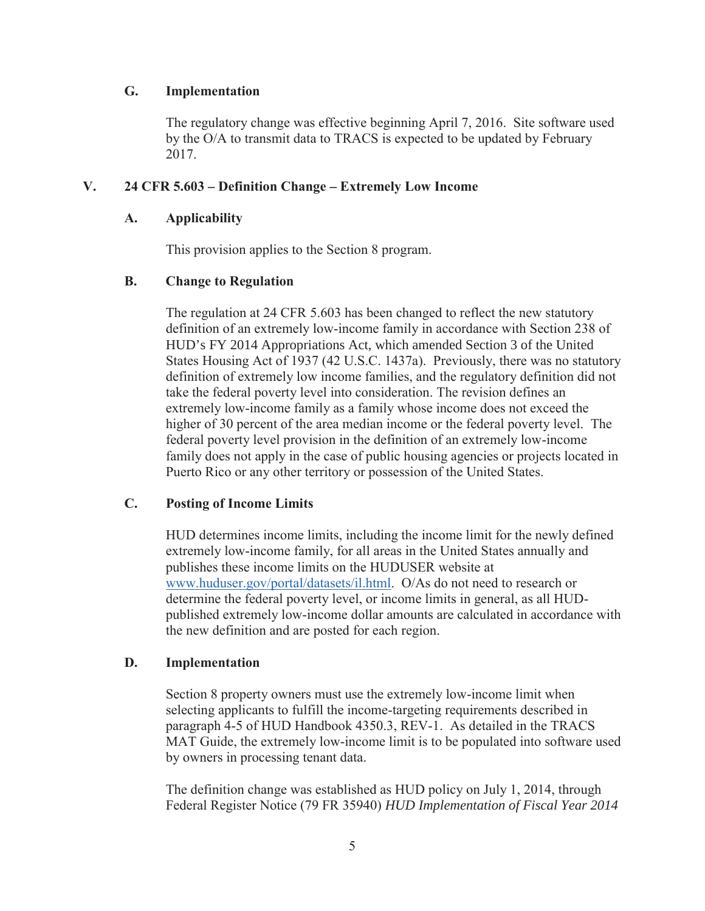#### **G. Implementation**

The regulatory change was effective beginning April 7, 2016. Site software used by the O/A to transmit data to TRACS is expected to be updated by February 2017.

### **V. 24 CFR 5.603 – Definition Change – Extremely Low Income**

#### **A. Applicability**

This provision applies to the Section 8 program.

#### **B. Change to Regulation**

The regulation at 24 CFR 5.603 has been changed to reflect the new statutory definition of an extremely low-income family in accordance with Section 238 of HUD's FY 2014 Appropriations Act, which amended Section 3 of the United States Housing Act of 1937 (42 U.S.C. 1437a). Previously, there was no statutory definition of extremely low income families, and the regulatory definition did not take the federal poverty level into consideration. The revision defines an extremely low-income family as a family whose income does not exceed the higher of 30 percent of the area median income or the federal poverty level. The federal poverty level provision in the definition of an extremely low-income family does not apply in the case of public housing agencies or projects located in Puerto Rico or any other territory or possession of the United States.

### **C. Posting of Income Limits**

HUD determines income limits, including the income limit for the newly defined extremely low-income family, for all areas in the United States annually and publishes these income limits on the HUDUSER website at www.huduser.gov/portal/datasets/il.html. O/As do not need to research or determine the federal poverty level, or income limits in general, as all HUDpublished extremely low-income dollar amounts are calculated in accordance with the new definition and are posted for each region.

### **D. Implementation**

Section 8 property owners must use the extremely low-income limit when selecting applicants to fulfill the income-targeting requirements described in paragraph 4-5 of HUD Handbook 4350.3, REV-1. As detailed in the TRACS MAT Guide, the extremely low-income limit is to be populated into software used by owners in processing tenant data.

The definition change was established as HUD policy on July 1, 2014, through Federal Register Notice (79 FR 35940) *HUD Implementation of Fiscal Year 2014*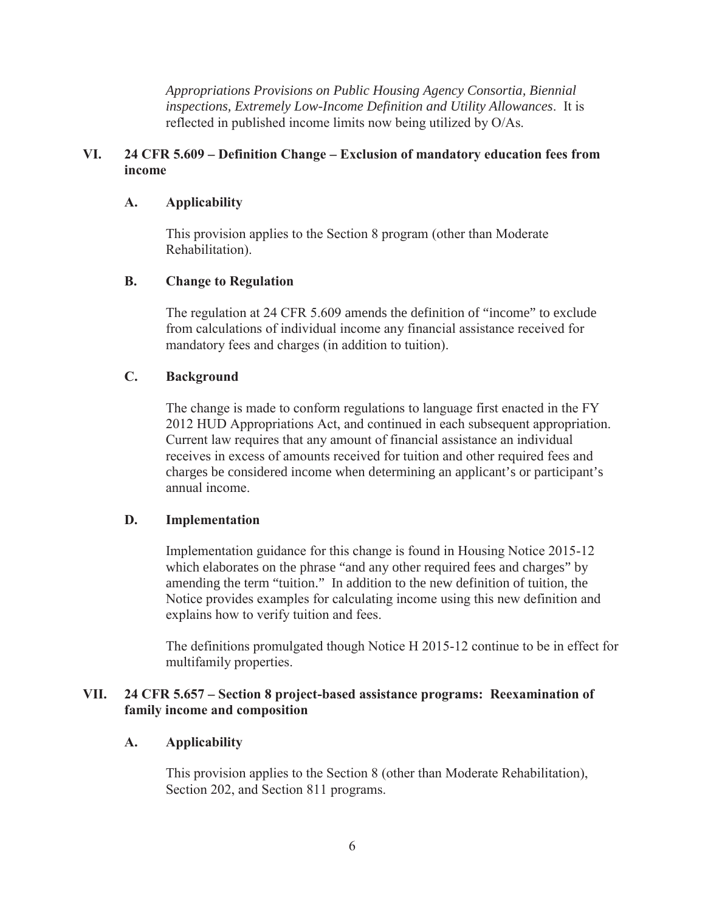*Appropriations Provisions on Public Housing Agency Consortia, Biennial inspections, Extremely Low-Income Definition and Utility Allowances*. It is reflected in published income limits now being utilized by O/As.

### **VI. 24 CFR 5.609 – Definition Change – Exclusion of mandatory education fees from income**

### **A. Applicability**

This provision applies to the Section 8 program (other than Moderate Rehabilitation).

## **B. Change to Regulation**

The regulation at 24 CFR 5.609 amends the definition of "income" to exclude from calculations of individual income any financial assistance received for mandatory fees and charges (in addition to tuition).

## **C. Background**

The change is made to conform regulations to language first enacted in the FY 2012 HUD Appropriations Act, and continued in each subsequent appropriation. Current law requires that any amount of financial assistance an individual receives in excess of amounts received for tuition and other required fees and charges be considered income when determining an applicant's or participant's annual income.

### **D. Implementation**

Implementation guidance for this change is found in Housing Notice 2015-12 which elaborates on the phrase "and any other required fees and charges" by amending the term "tuition." In addition to the new definition of tuition, the Notice provides examples for calculating income using this new definition and explains how to verify tuition and fees.

The definitions promulgated though Notice H 2015-12 continue to be in effect for multifamily properties.

### **VII. 24 CFR 5.657 – Section 8 project-based assistance programs: Reexamination of family income and composition**

### **A. Applicability**

This provision applies to the Section 8 (other than Moderate Rehabilitation), Section 202, and Section 811 programs.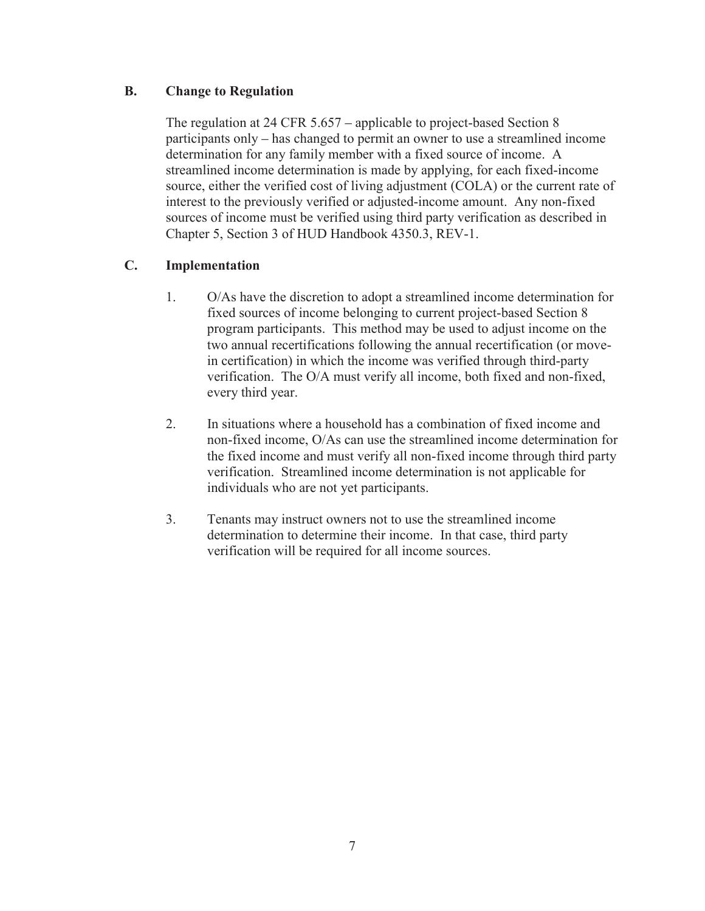### **B. Change to Regulation**

The regulation at 24 CFR 5.657 – applicable to project-based Section 8 participants only – has changed to permit an owner to use a streamlined income determination for any family member with a fixed source of income. A streamlined income determination is made by applying, for each fixed-income source, either the verified cost of living adjustment (COLA) or the current rate of interest to the previously verified or adjusted-income amount. Any non-fixed sources of income must be verified using third party verification as described in Chapter 5, Section 3 of HUD Handbook 4350.3, REV-1.

## **C. Implementation**

- 1. O/As have the discretion to adopt a streamlined income determination for fixed sources of income belonging to current project-based Section 8 program participants. This method may be used to adjust income on the two annual recertifications following the annual recertification (or movein certification) in which the income was verified through third-party verification. The O/A must verify all income, both fixed and non-fixed, every third year.
- 2. In situations where a household has a combination of fixed income and non-fixed income, O/As can use the streamlined income determination for the fixed income and must verify all non-fixed income through third party verification. Streamlined income determination is not applicable for individuals who are not yet participants.
- 3. Tenants may instruct owners not to use the streamlined income determination to determine their income. In that case, third party verification will be required for all income sources.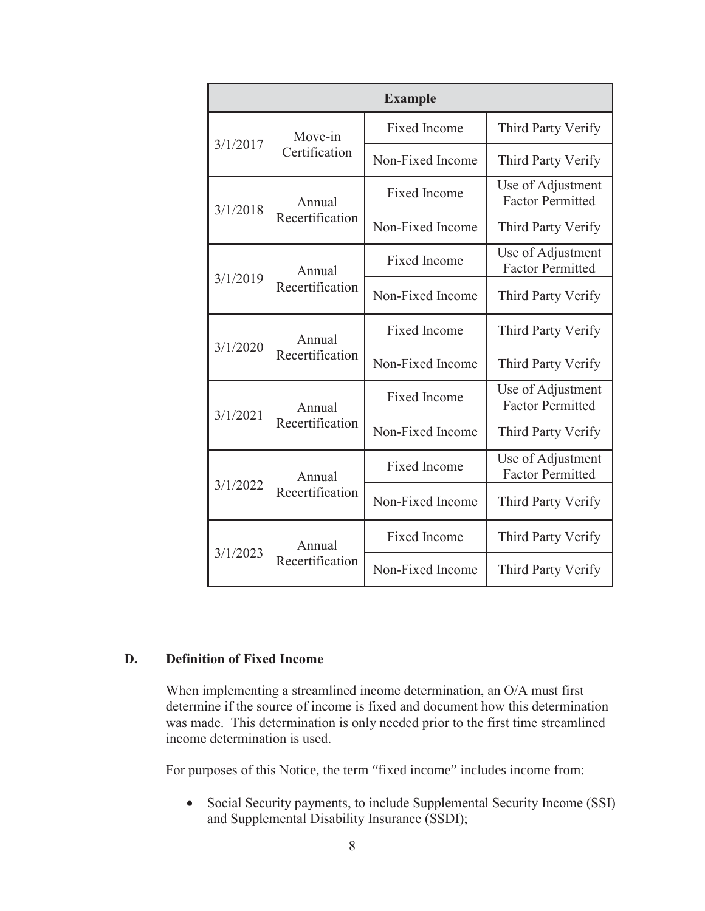| <b>Example</b> |                           |                     |                                              |
|----------------|---------------------------|---------------------|----------------------------------------------|
| 3/1/2017       | Move-in                   | Fixed Income        | Third Party Verify                           |
|                | Certification             | Non-Fixed Income    | Third Party Verify                           |
| 3/1/2018       | Annual                    | <b>Fixed Income</b> | Use of Adjustment<br><b>Factor Permitted</b> |
|                | Recertification           | Non-Fixed Income    | Third Party Verify                           |
| 3/1/2019       | Annual                    | <b>Fixed Income</b> | Use of Adjustment<br><b>Factor Permitted</b> |
|                | Recertification           | Non-Fixed Income    | Third Party Verify                           |
| 3/1/2020       | Annual<br>Recertification | <b>Fixed Income</b> | Third Party Verify                           |
|                |                           | Non-Fixed Income    | Third Party Verify                           |
| 3/1/2021       | Annual                    | <b>Fixed Income</b> | Use of Adjustment<br><b>Factor Permitted</b> |
|                | Recertification           | Non-Fixed Income    | Third Party Verify                           |
| 3/1/2022       | Annual                    | <b>Fixed Income</b> | Use of Adjustment<br><b>Factor Permitted</b> |
|                | Recertification           | Non-Fixed Income    | Third Party Verify                           |
| 3/1/2023       | Annual<br>Recertification | <b>Fixed Income</b> | Third Party Verify                           |
|                |                           | Non-Fixed Income    | Third Party Verify                           |

### **D. Definition of Fixed Income**

When implementing a streamlined income determination, an O/A must first determine if the source of income is fixed and document how this determination was made. This determination is only needed prior to the first time streamlined income determination is used.

For purposes of this Notice, the term "fixed income" includes income from:

• Social Security payments, to include Supplemental Security Income (SSI) and Supplemental Disability Insurance (SSDI);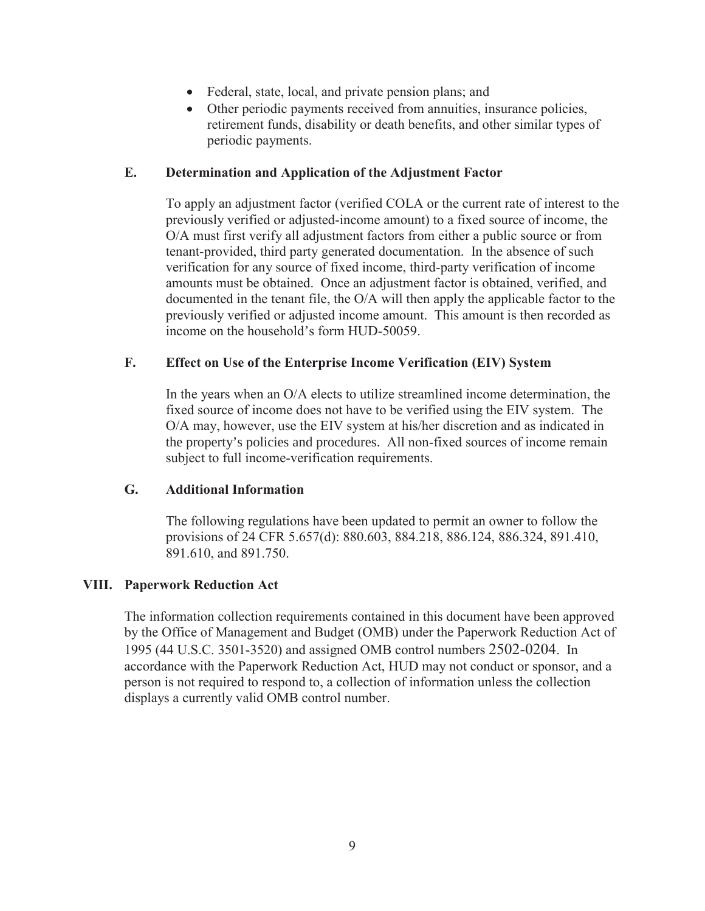- Federal, state, local, and private pension plans; and
- Other periodic payments received from annuities, insurance policies, retirement funds, disability or death benefits, and other similar types of periodic payments.

#### **E. Determination and Application of the Adjustment Factor**

To apply an adjustment factor (verified COLA or the current rate of interest to the previously verified or adjusted-income amount) to a fixed source of income, the O/A must first verify all adjustment factors from either a public source or from tenant-provided, third party generated documentation. In the absence of such verification for any source of fixed income, third-party verification of income amounts must be obtained. Once an adjustment factor is obtained, verified, and documented in the tenant file, the O/A will then apply the applicable factor to the previously verified or adjusted income amount. This amount is then recorded as income on the household's form HUD-50059.

#### **F. Effect on Use of the Enterprise Income Verification (EIV) System**

In the years when an O/A elects to utilize streamlined income determination, the fixed source of income does not have to be verified using the EIV system. The O/A may, however, use the EIV system at his/her discretion and as indicated in the property's policies and procedures. All non-fixed sources of income remain subject to full income-verification requirements.

### **G. Additional Information**

The following regulations have been updated to permit an owner to follow the provisions of 24 CFR 5.657(d): 880.603, 884.218, 886.124, 886.324, 891.410, 891.610, and 891.750.

#### **VIII. Paperwork Reduction Act**

The information collection requirements contained in this document have been approved by the Office of Management and Budget (OMB) under the Paperwork Reduction Act of 1995 (44 U.S.C. 3501-3520) and assigned OMB control numbers 2502-0204. In accordance with the Paperwork Reduction Act, HUD may not conduct or sponsor, and a person is not required to respond to, a collection of information unless the collection displays a currently valid OMB control number.